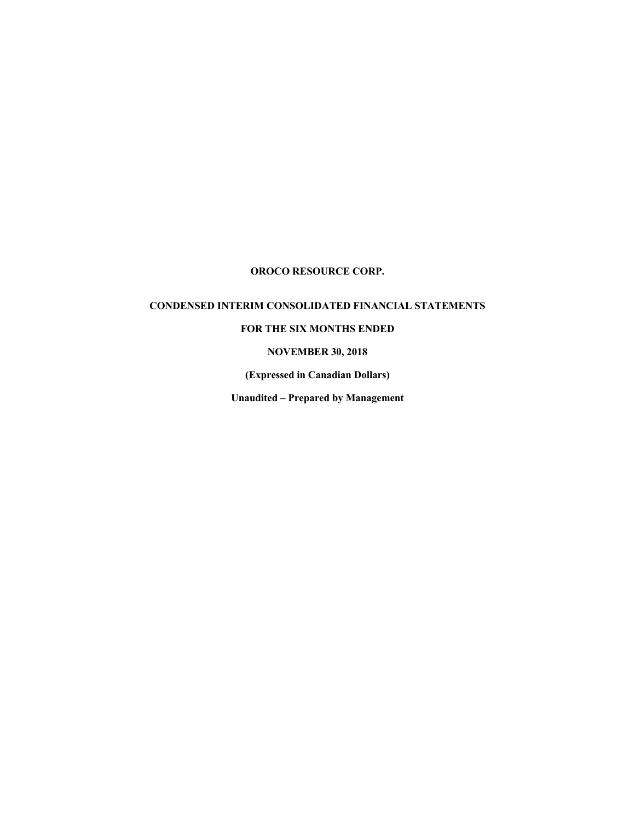# **CONDENSED INTERIM CONSOLIDATED FINANCIAL STATEMENTS**

# **FOR THE SIX MONTHS ENDED**

### **NOVEMBER 30, 2018**

**(Expressed in Canadian Dollars)**

**Unaudited – Prepared by Management**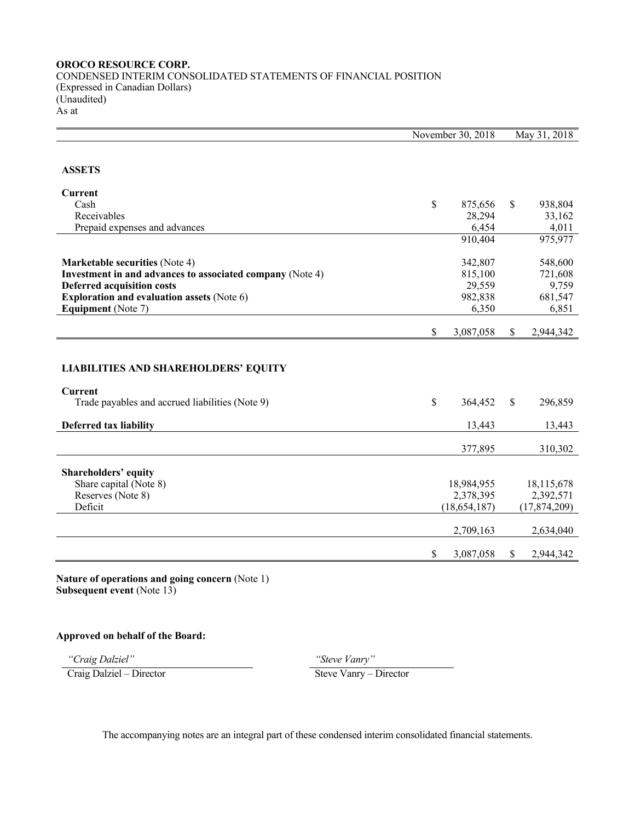# **OROCO RESOURCE CORP.** CONDENSED INTERIM CONSOLIDATED STATEMENTS OF FINANCIAL POSITION (Expressed in Canadian Dollars) (Unaudited) As at

|                                                           | November 30, 2018       |               | May 31, 2018            |
|-----------------------------------------------------------|-------------------------|---------------|-------------------------|
|                                                           |                         |               |                         |
| <b>ASSETS</b>                                             |                         |               |                         |
| Current                                                   |                         |               |                         |
| Cash                                                      | \$<br>875,656           | \$.           | 938,804                 |
| Receivables                                               | 28,294                  |               | 33,162                  |
| Prepaid expenses and advances                             | 6,454                   |               | 4,011                   |
|                                                           | 910,404                 |               | 975,977                 |
| <b>Marketable securities (Note 4)</b>                     | 342,807                 |               | 548,600                 |
| Investment in and advances to associated company (Note 4) | 815,100                 |               | 721,608                 |
| <b>Deferred acquisition costs</b>                         | 29,559                  |               | 9,759                   |
| <b>Exploration and evaluation assets (Note 6)</b>         | 982,838                 |               | 681,547                 |
| <b>Equipment</b> (Note 7)                                 | 6,350                   |               | 6,851                   |
|                                                           |                         |               |                         |
|                                                           | \$<br>3,087,058         | \$            | 2,944,342               |
|                                                           |                         |               |                         |
| <b>LIABILITIES AND SHAREHOLDERS' EQUITY</b>               |                         |               |                         |
| <b>Current</b>                                            |                         |               |                         |
| Trade payables and accrued liabilities (Note 9)           | \$<br>364,452           | $\mathcal{S}$ | 296,859                 |
| <b>Deferred tax liability</b>                             | 13,443                  |               | 13,443                  |
|                                                           |                         |               |                         |
|                                                           | 377,895                 |               | 310,302                 |
|                                                           |                         |               |                         |
| Shareholders' equity                                      |                         |               |                         |
| Share capital (Note 8)<br>Reserves (Note 8)               | 18,984,955<br>2,378,395 |               | 18,115,678<br>2,392,571 |
| Deficit                                                   | (18, 654, 187)          |               | (17, 874, 209)          |
|                                                           |                         |               |                         |
|                                                           | 2,709,163               |               | 2,634,040               |
|                                                           | \$<br>3,087,058         | S.            | 2,944,342               |
|                                                           |                         |               |                         |

**Nature of operations and going concern** (Note 1) **Subsequent event** (Note 13)

# **Approved on behalf of the Board:**

*"Craig Dalziel" "Steve Vanry"* Craig Dalziel – Director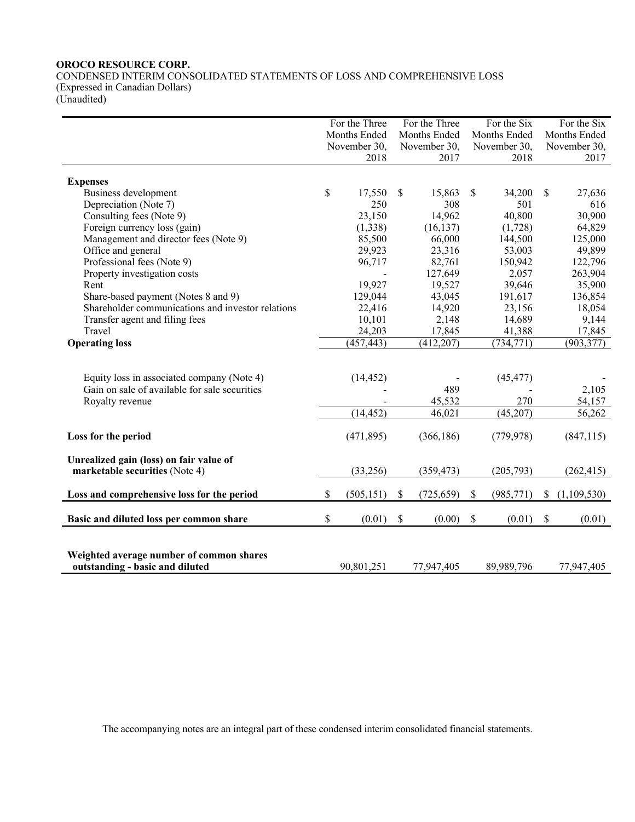CONDENSED INTERIM CONSOLIDATED STATEMENTS OF LOSS AND COMPREHENSIVE LOSS (Expressed in Canadian Dollars)

(Unaudited) For the Three

|                                                   | Months Ended |               | Months Ended        |              | Months Ended  |              | Months Ended  |  |
|---------------------------------------------------|--------------|---------------|---------------------|--------------|---------------|--------------|---------------|--|
|                                                   | November 30, |               | November 30,        | November 30, |               | November 30, |               |  |
|                                                   |              | 2018          | 2017                |              | 2018          |              | 2017          |  |
|                                                   |              |               |                     |              |               |              |               |  |
| <b>Expenses</b>                                   |              |               |                     |              |               |              |               |  |
| Business development<br>Depreciation (Note 7)     | \$           | 17,550<br>250 | \$<br>15,863<br>308 | \$           | 34,200<br>501 | S            | 27,636<br>616 |  |
| Consulting fees (Note 9)                          |              | 23,150        | 14,962              |              | 40,800        |              | 30,900        |  |
| Foreign currency loss (gain)                      |              | (1,338)       | (16, 137)           |              | (1,728)       |              | 64,829        |  |
| Management and director fees (Note 9)             |              | 85,500        | 66,000              |              | 144,500       |              | 125,000       |  |
| Office and general                                |              | 29,923        | 23,316              |              | 53,003        |              | 49,899        |  |
| Professional fees (Note 9)                        |              | 96,717        | 82,761              |              | 150,942       |              | 122,796       |  |
| Property investigation costs                      |              |               | 127,649             |              | 2,057         |              | 263,904       |  |
| Rent                                              |              | 19,927        | 19,527              |              | 39,646        |              | 35,900        |  |
| Share-based payment (Notes 8 and 9)               |              | 129,044       | 43,045              |              | 191,617       |              | 136,854       |  |
| Shareholder communications and investor relations |              | 22,416        | 14,920              |              | 23,156        |              | 18,054        |  |
| Transfer agent and filing fees                    |              | 10,101        | 2,148               |              | 14,689        |              | 9,144         |  |
| Travel                                            |              | 24,203        | 17,845              |              | 41,388        |              | 17,845        |  |
| <b>Operating loss</b>                             |              | (457, 443)    | (412, 207)          |              | (734, 771)    |              | (903, 377)    |  |
|                                                   |              |               |                     |              |               |              |               |  |
|                                                   |              |               |                     |              |               |              |               |  |
| Equity loss in associated company (Note 4)        |              | (14, 452)     |                     |              | (45, 477)     |              |               |  |
| Gain on sale of available for sale securities     |              |               | 489                 |              |               |              | 2,105         |  |
| Royalty revenue                                   |              |               | 45,532              |              | 270           |              | 54,157        |  |
|                                                   |              | (14, 452)     | 46,021              |              | (45,207)      |              | 56,262        |  |
|                                                   |              |               |                     |              |               |              |               |  |
| Loss for the period                               |              | (471, 895)    | (366, 186)          |              | (779, 978)    |              | (847, 115)    |  |
|                                                   |              |               |                     |              |               |              |               |  |
| Unrealized gain (loss) on fair value of           |              |               |                     |              |               |              |               |  |
| marketable securities (Note 4)                    |              | (33,256)      | (359, 473)          |              | (205,793)     |              | (262, 415)    |  |
| Loss and comprehensive loss for the period        | \$           | (505, 151)    | \$<br>(725, 659)    | \$           | (985, 771)    | \$           | (1,109,530)   |  |
|                                                   |              |               |                     |              |               |              |               |  |
| Basic and diluted loss per common share           | \$           | (0.01)        | \$<br>(0.00)        | \$           | (0.01)        | \$           | (0.01)        |  |
|                                                   |              |               |                     |              |               |              |               |  |
|                                                   |              |               |                     |              |               |              |               |  |
| Weighted average number of common shares          |              |               |                     |              |               |              |               |  |
| outstanding - basic and diluted                   |              | 90,801,251    | 77,947,405          |              | 89,989,796    |              | 77,947,405    |  |

For the Three

For the Six

For the Six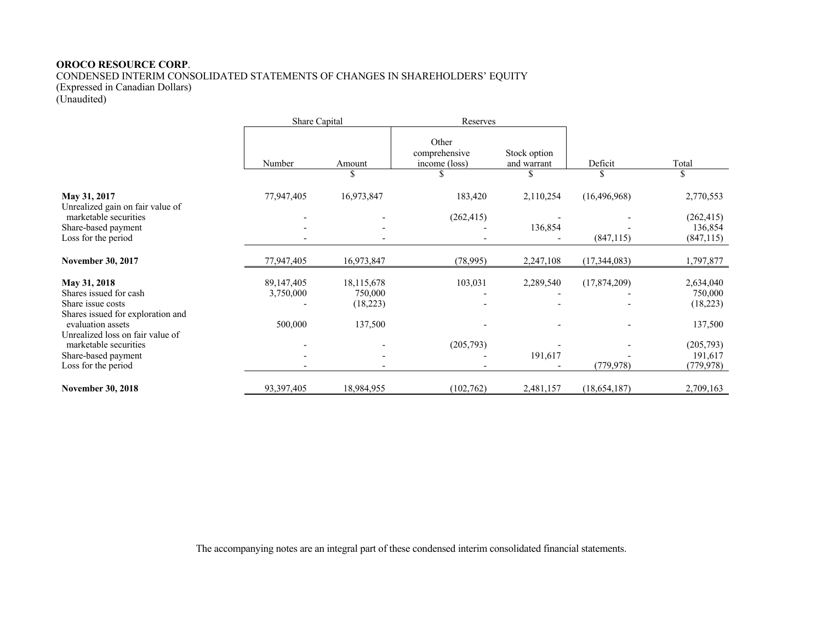CONDENSED INTERIM CONSOLIDATED STATEMENTS OF CHANGES IN SHAREHOLDERS' EQUITY

(Expressed in Canadian Dollars)

(Unaudited)

|                                                                                                  | Share Capital           |                                    | Reserves                                |                             |                |                                     |
|--------------------------------------------------------------------------------------------------|-------------------------|------------------------------------|-----------------------------------------|-----------------------------|----------------|-------------------------------------|
|                                                                                                  | Number                  | Amount<br>\$                       | Other<br>comprehensive<br>income (loss) | Stock option<br>and warrant | Deficit        | Total<br>\$                         |
| May 31, 2017<br>Unrealized gain on fair value of                                                 | 77,947,405              | 16,973,847                         | 183,420                                 | 2,110,254                   | (16, 496, 968) | 2,770,553                           |
| marketable securities<br>Share-based payment<br>Loss for the period                              |                         |                                    | (262, 415)                              | 136,854                     | (847, 115)     | (262, 415)<br>136,854<br>(847, 115) |
|                                                                                                  |                         |                                    |                                         |                             |                |                                     |
| <b>November 30, 2017</b>                                                                         | 77,947,405              | 16,973,847                         | (78,995)                                | 2,247,108                   | (17,344,083)   | 1,797,877                           |
| May 31, 2018<br>Shares issued for cash<br>Share issue costs<br>Shares issued for exploration and | 89,147,405<br>3,750,000 | 18,115,678<br>750,000<br>(18, 223) | 103,031                                 | 2,289,540                   | (17,874,209)   | 2,634,040<br>750,000<br>(18,223)    |
| evaluation assets<br>Unrealized loss on fair value of                                            | 500,000                 | 137,500                            |                                         |                             |                | 137,500                             |
| marketable securities<br>Share-based payment                                                     |                         |                                    | (205,793)                               | 191,617                     |                | (205,793)<br>191,617                |
| Loss for the period                                                                              |                         |                                    |                                         |                             | (779, 978)     | (779, 978)                          |
| <b>November 30, 2018</b>                                                                         | 93,397,405              | 18,984,955                         | (102,762)                               | 2,481,157                   | (18, 654, 187) | 2,709,163                           |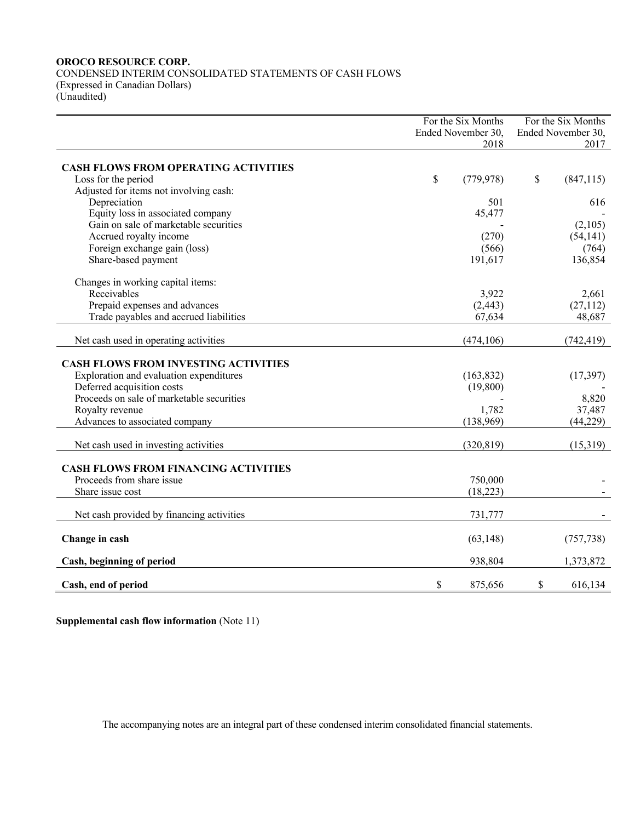CONDENSED INTERIM CONSOLIDATED STATEMENTS OF CASH FLOWS (Expressed in Canadian Dollars) (Unaudited)

For the Six Months Ended November 30, 2018 For the Six Months Ended November 30, 2017 **CASH FLOWS FROM OPERATING ACTIVITIES** Loss for the period  $\frac{1}{2}$  (847,115) Adjusted for items not involving cash: Depreciation  $501$  616 Equity loss in associated company  $45,477$ Gain on sale of marketable securities (2,105)  $\frac{1}{2}$  (2,105) Accrued royalty income  $(270)$  (54,141) Foreign exchange gain (loss) (764) (764) Share-based payment 191,617 136,854 Changes in working capital items: Receivables  $3,922$   $2,661$ Prepaid expenses and advances (2,443) (27,112) Trade payables and accrued liabilities 67,634 48,687 Net cash used in operating activities (474,106) (742,419) **CASH FLOWS FROM INVESTING ACTIVITIES** Exploration and evaluation expenditures (163,832) (17,397) Deferred acquisition costs (19,800) Proceeds on sale of marketable securities and the securities of the securities of the securities of the securities of the securities of the securities of the securities of the securities of the securities of the securities Royalty revenue 37,487 Advances to associated company (138,969) (44,229) Net cash used in investing activities (320,819) (15,319) (15,319) **CASH FLOWS FROM FINANCING ACTIVITIES** Proceeds from share issue 750,000  $\frac{750,000}{250,000}$ Share issue cost (18,223) Net cash provided by financing activities 731,777 - 731,777 **Change in cash** (63,148) (757,738) **Cash, beginning of period** 938,804 1,373,872 **Cash, end of period 8 875,656** \$ 616,134

**Supplemental cash flow information** (Note 11)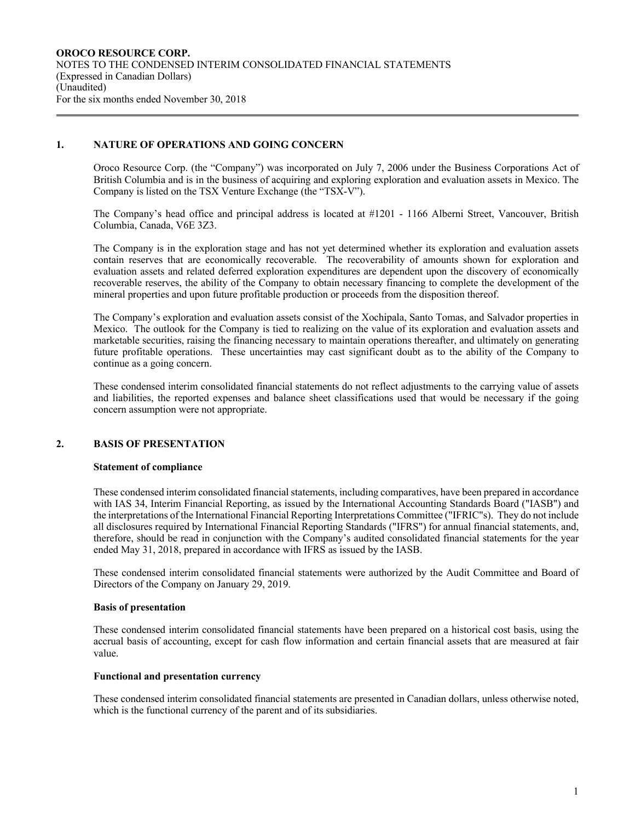### **1. NATURE OF OPERATIONS AND GOING CONCERN**

Oroco Resource Corp. (the "Company") was incorporated on July 7, 2006 under the Business Corporations Act of British Columbia and is in the business of acquiring and exploring exploration and evaluation assets in Mexico. The Company is listed on the TSX Venture Exchange (the "TSX-V").

The Company's head office and principal address is located at #1201 - 1166 Alberni Street, Vancouver, British Columbia, Canada, V6E 3Z3.

The Company is in the exploration stage and has not yet determined whether its exploration and evaluation assets contain reserves that are economically recoverable. The recoverability of amounts shown for exploration and evaluation assets and related deferred exploration expenditures are dependent upon the discovery of economically recoverable reserves, the ability of the Company to obtain necessary financing to complete the development of the mineral properties and upon future profitable production or proceeds from the disposition thereof.

The Company's exploration and evaluation assets consist of the Xochipala, Santo Tomas, and Salvador properties in Mexico. The outlook for the Company is tied to realizing on the value of its exploration and evaluation assets and marketable securities, raising the financing necessary to maintain operations thereafter, and ultimately on generating future profitable operations. These uncertainties may cast significant doubt as to the ability of the Company to continue as a going concern.

These condensed interim consolidated financial statements do not reflect adjustments to the carrying value of assets and liabilities, the reported expenses and balance sheet classifications used that would be necessary if the going concern assumption were not appropriate.

#### **2. BASIS OF PRESENTATION**

#### **Statement of compliance**

These condensed interim consolidated financial statements, including comparatives, have been prepared in accordance with IAS 34, Interim Financial Reporting, as issued by the International Accounting Standards Board ("IASB") and the interpretations of the International Financial Reporting Interpretations Committee ("IFRIC"s). They do not include all disclosures required by International Financial Reporting Standards ("IFRS") for annual financial statements, and, therefore, should be read in conjunction with the Company's audited consolidated financial statements for the year ended May 31, 2018, prepared in accordance with IFRS as issued by the IASB.

These condensed interim consolidated financial statements were authorized by the Audit Committee and Board of Directors of the Company on January 29, 2019.

#### **Basis of presentation**

These condensed interim consolidated financial statements have been prepared on a historical cost basis, using the accrual basis of accounting, except for cash flow information and certain financial assets that are measured at fair value.

#### **Functional and presentation currency**

These condensed interim consolidated financial statements are presented in Canadian dollars, unless otherwise noted, which is the functional currency of the parent and of its subsidiaries.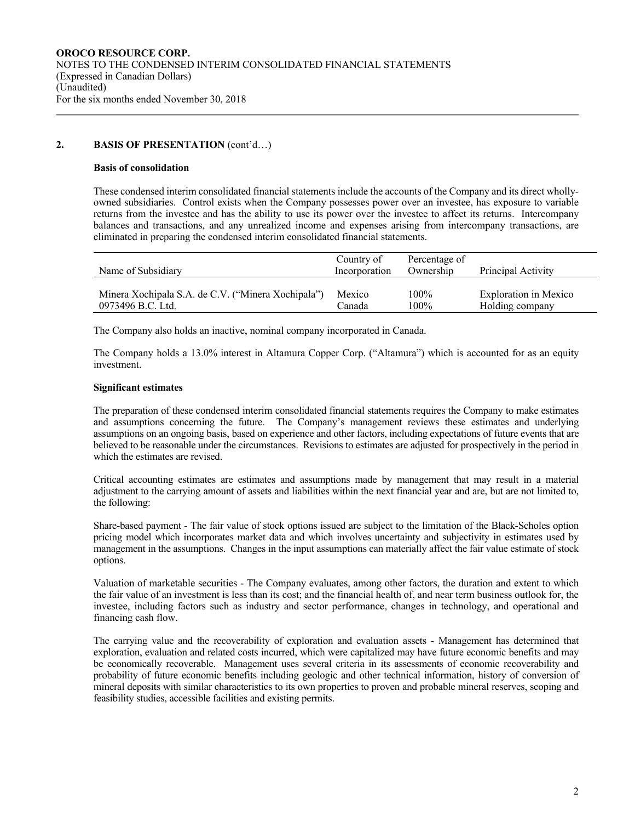### **2. BASIS OF PRESENTATION** (cont'd…)

#### **Basis of consolidation**

These condensed interim consolidated financial statements include the accounts of the Company and its direct whollyowned subsidiaries. Control exists when the Company possesses power over an investee, has exposure to variable returns from the investee and has the ability to use its power over the investee to affect its returns. Intercompany balances and transactions, and any unrealized income and expenses arising from intercompany transactions, are eliminated in preparing the condensed interim consolidated financial statements.

| Name of Subsidiary                                 | Country of<br>Incorporation | Percentage of<br>Ownership | Principal Activity           |
|----------------------------------------------------|-----------------------------|----------------------------|------------------------------|
| Minera Xochipala S.A. de C.V. ("Minera Xochipala") | Mexico                      | 100%                       | <b>Exploration in Mexico</b> |
| 0973496 B.C. Ltd.                                  | Canada                      | 100%                       | Holding company              |

The Company also holds an inactive, nominal company incorporated in Canada.

The Company holds a 13.0% interest in Altamura Copper Corp. ("Altamura") which is accounted for as an equity investment.

#### **Significant estimates**

The preparation of these condensed interim consolidated financial statements requires the Company to make estimates and assumptions concerning the future. The Company's management reviews these estimates and underlying assumptions on an ongoing basis, based on experience and other factors, including expectations of future events that are believed to be reasonable under the circumstances. Revisions to estimates are adjusted for prospectively in the period in which the estimates are revised.

Critical accounting estimates are estimates and assumptions made by management that may result in a material adjustment to the carrying amount of assets and liabilities within the next financial year and are, but are not limited to, the following:

Share-based payment - The fair value of stock options issued are subject to the limitation of the Black-Scholes option pricing model which incorporates market data and which involves uncertainty and subjectivity in estimates used by management in the assumptions. Changes in the input assumptions can materially affect the fair value estimate of stock options.

Valuation of marketable securities - The Company evaluates, among other factors, the duration and extent to which the fair value of an investment is less than its cost; and the financial health of, and near term business outlook for, the investee, including factors such as industry and sector performance, changes in technology, and operational and financing cash flow.

The carrying value and the recoverability of exploration and evaluation assets - Management has determined that exploration, evaluation and related costs incurred, which were capitalized may have future economic benefits and may be economically recoverable. Management uses several criteria in its assessments of economic recoverability and probability of future economic benefits including geologic and other technical information, history of conversion of mineral deposits with similar characteristics to its own properties to proven and probable mineral reserves, scoping and feasibility studies, accessible facilities and existing permits.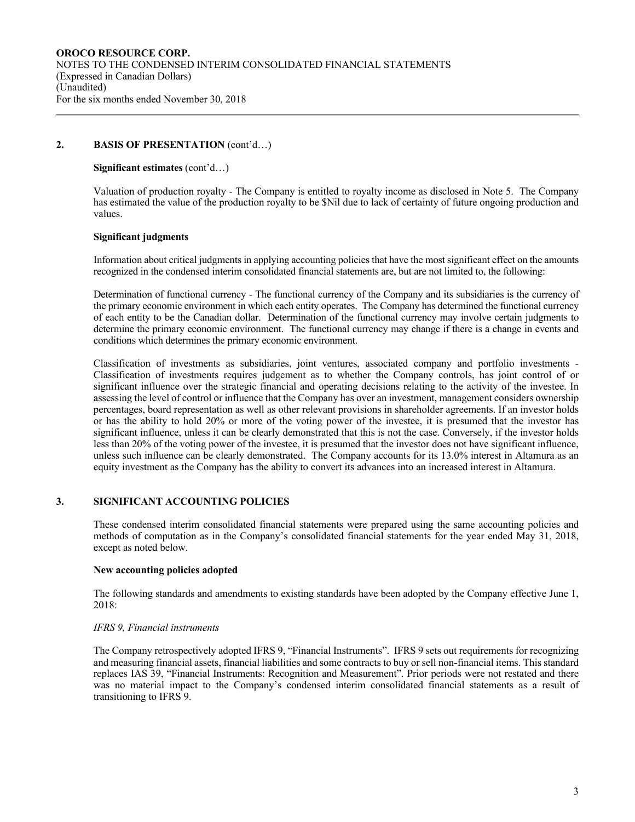### **2. BASIS OF PRESENTATION** (cont'd…)

#### **Significant estimates** (cont'd…)

Valuation of production royalty - The Company is entitled to royalty income as disclosed in Note 5. The Company has estimated the value of the production royalty to be \$Nil due to lack of certainty of future ongoing production and values.

#### **Significant judgments**

Information about critical judgments in applying accounting policies that have the most significant effect on the amounts recognized in the condensed interim consolidated financial statements are, but are not limited to, the following:

Determination of functional currency - The functional currency of the Company and its subsidiaries is the currency of the primary economic environment in which each entity operates. The Company has determined the functional currency of each entity to be the Canadian dollar. Determination of the functional currency may involve certain judgments to determine the primary economic environment. The functional currency may change if there is a change in events and conditions which determines the primary economic environment.

Classification of investments as subsidiaries, joint ventures, associated company and portfolio investments - Classification of investments requires judgement as to whether the Company controls, has joint control of or significant influence over the strategic financial and operating decisions relating to the activity of the investee. In assessing the level of control or influence that the Company has over an investment, management considers ownership percentages, board representation as well as other relevant provisions in shareholder agreements. If an investor holds or has the ability to hold 20% or more of the voting power of the investee, it is presumed that the investor has significant influence, unless it can be clearly demonstrated that this is not the case. Conversely, if the investor holds less than 20% of the voting power of the investee, it is presumed that the investor does not have significant influence, unless such influence can be clearly demonstrated. The Company accounts for its 13.0% interest in Altamura as an equity investment as the Company has the ability to convert its advances into an increased interest in Altamura.

### **3. SIGNIFICANT ACCOUNTING POLICIES**

These condensed interim consolidated financial statements were prepared using the same accounting policies and methods of computation as in the Company's consolidated financial statements for the year ended May 31, 2018, except as noted below.

#### **New accounting policies adopted**

The following standards and amendments to existing standards have been adopted by the Company effective June 1, 2018:

#### *IFRS 9, Financial instruments*

The Company retrospectively adopted IFRS 9, "Financial Instruments". IFRS 9 sets out requirements for recognizing and measuring financial assets, financial liabilities and some contracts to buy or sell non-financial items. This standard replaces IAS 39, "Financial Instruments: Recognition and Measurement". Prior periods were not restated and there was no material impact to the Company's condensed interim consolidated financial statements as a result of transitioning to IFRS 9.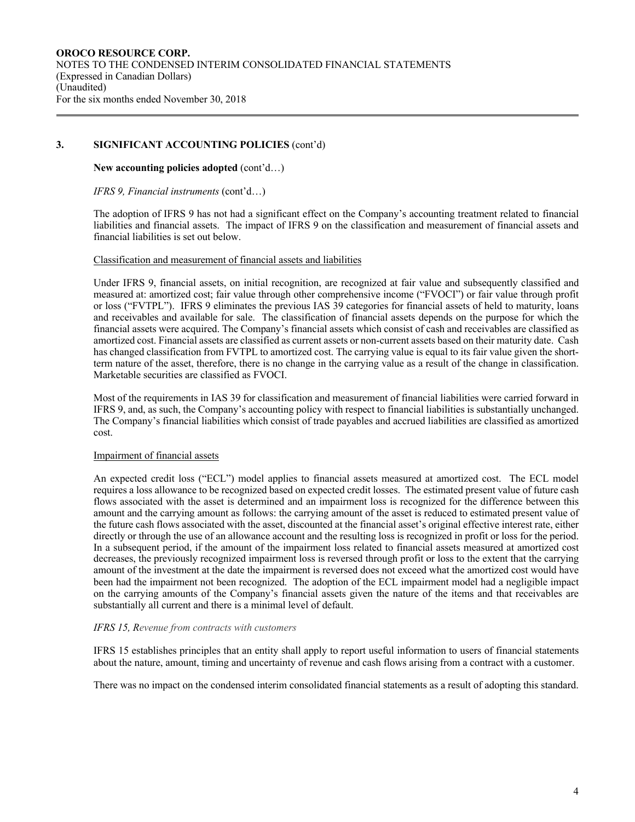# **3. SIGNIFICANT ACCOUNTING POLICIES** (cont'd)

### **New accounting policies adopted** (cont'd…)

#### *IFRS 9, Financial instruments* (cont'd…)

The adoption of IFRS 9 has not had a significant effect on the Company's accounting treatment related to financial liabilities and financial assets. The impact of IFRS 9 on the classification and measurement of financial assets and financial liabilities is set out below.

#### Classification and measurement of financial assets and liabilities

Under IFRS 9, financial assets, on initial recognition, are recognized at fair value and subsequently classified and measured at: amortized cost; fair value through other comprehensive income ("FVOCI") or fair value through profit or loss ("FVTPL"). IFRS 9 eliminates the previous IAS 39 categories for financial assets of held to maturity, loans and receivables and available for sale. The classification of financial assets depends on the purpose for which the financial assets were acquired. The Company's financial assets which consist of cash and receivables are classified as amortized cost. Financial assets are classified as current assets or non-current assets based on their maturity date. Cash has changed classification from FVTPL to amortized cost. The carrying value is equal to its fair value given the shortterm nature of the asset, therefore, there is no change in the carrying value as a result of the change in classification. Marketable securities are classified as FVOCI.

Most of the requirements in IAS 39 for classification and measurement of financial liabilities were carried forward in IFRS 9, and, as such, the Company's accounting policy with respect to financial liabilities is substantially unchanged. The Company's financial liabilities which consist of trade payables and accrued liabilities are classified as amortized cost.

### Impairment of financial assets

An expected credit loss ("ECL") model applies to financial assets measured at amortized cost. The ECL model requires a loss allowance to be recognized based on expected credit losses. The estimated present value of future cash flows associated with the asset is determined and an impairment loss is recognized for the difference between this amount and the carrying amount as follows: the carrying amount of the asset is reduced to estimated present value of the future cash flows associated with the asset, discounted at the financial asset's original effective interest rate, either directly or through the use of an allowance account and the resulting loss is recognized in profit or loss for the period. In a subsequent period, if the amount of the impairment loss related to financial assets measured at amortized cost decreases, the previously recognized impairment loss is reversed through profit or loss to the extent that the carrying amount of the investment at the date the impairment is reversed does not exceed what the amortized cost would have been had the impairment not been recognized. The adoption of the ECL impairment model had a negligible impact on the carrying amounts of the Company's financial assets given the nature of the items and that receivables are substantially all current and there is a minimal level of default.

### *IFRS 15, Revenue from contracts with customers*

IFRS 15 establishes principles that an entity shall apply to report useful information to users of financial statements about the nature, amount, timing and uncertainty of revenue and cash flows arising from a contract with a customer.

There was no impact on the condensed interim consolidated financial statements as a result of adopting this standard.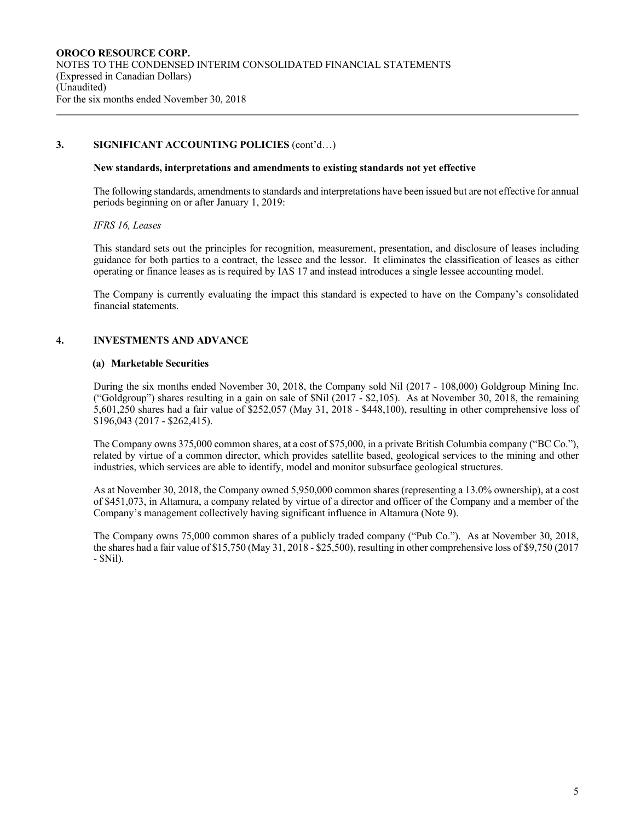### **3. SIGNIFICANT ACCOUNTING POLICIES** (cont'd…)

#### **New standards, interpretations and amendments to existing standards not yet effective**

The following standards, amendments to standards and interpretations have been issued but are not effective for annual periods beginning on or after January 1, 2019:

#### *IFRS 16, Leases*

This standard sets out the principles for recognition, measurement, presentation, and disclosure of leases including guidance for both parties to a contract, the lessee and the lessor. It eliminates the classification of leases as either operating or finance leases as is required by IAS 17 and instead introduces a single lessee accounting model.

The Company is currently evaluating the impact this standard is expected to have on the Company's consolidated financial statements.

### **4. INVESTMENTS AND ADVANCE**

#### **(a) Marketable Securities**

During the six months ended November 30, 2018, the Company sold Nil (2017 - 108,000) Goldgroup Mining Inc. ("Goldgroup") shares resulting in a gain on sale of \$Nil (2017 - \$2,105). As at November 30, 2018, the remaining 5,601,250 shares had a fair value of \$252,057 (May 31, 2018 - \$448,100), resulting in other comprehensive loss of \$196,043 (2017 - \$262,415).

The Company owns 375,000 common shares, at a cost of \$75,000, in a private British Columbia company ("BC Co."), related by virtue of a common director, which provides satellite based, geological services to the mining and other industries, which services are able to identify, model and monitor subsurface geological structures.

As at November 30, 2018, the Company owned 5,950,000 common shares (representing a 13.0% ownership), at a cost of \$451,073, in Altamura, a company related by virtue of a director and officer of the Company and a member of the Company's management collectively having significant influence in Altamura (Note 9).

The Company owns 75,000 common shares of a publicly traded company ("Pub Co."). As at November 30, 2018, the shares had a fair value of \$15,750 (May 31, 2018 - \$25,500), resulting in other comprehensive loss of \$9,750 (2017 - \$Nil).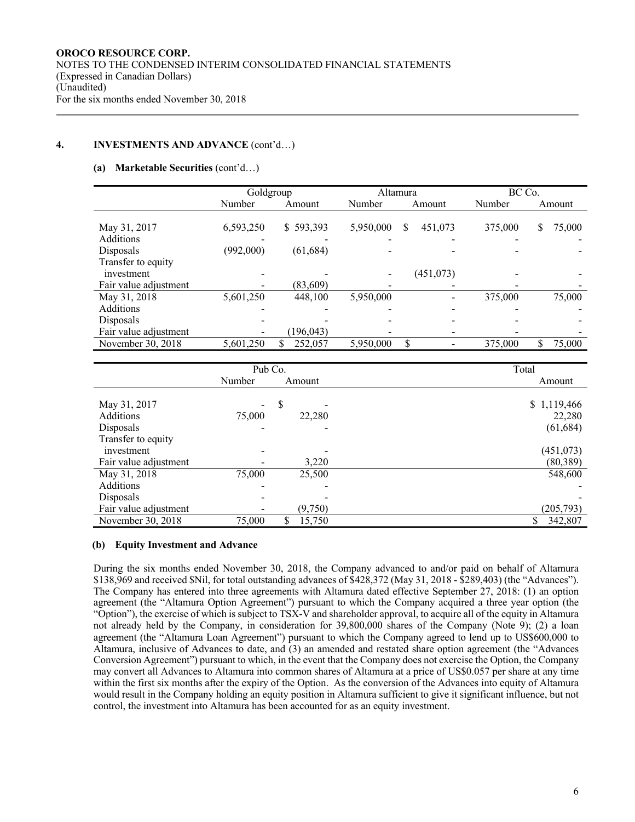### **4. INVESTMENTS AND ADVANCE** (cont'd…)

#### **(a) Marketable Securities** (cont'd…)

|                       | Goldgroup |              | Altamura  |              | BC Co.  |              |  |  |
|-----------------------|-----------|--------------|-----------|--------------|---------|--------------|--|--|
|                       | Number    | Amount       | Number    | Amount       | Number  | Amount       |  |  |
|                       |           |              |           |              |         |              |  |  |
| May 31, 2017          | 6,593,250 | \$593,393    | 5,950,000 | 451,073<br>S | 375,000 | 75,000<br>\$ |  |  |
| Additions             |           |              |           |              |         |              |  |  |
| Disposals             | (992,000) | (61, 684)    |           |              |         |              |  |  |
| Transfer to equity    |           |              |           |              |         |              |  |  |
| investment            |           |              |           | (451, 073)   |         |              |  |  |
| Fair value adjustment |           | (83,609)     |           |              |         |              |  |  |
| May 31, 2018          | 5,601,250 | 448,100      | 5,950,000 |              | 375,000 | 75,000       |  |  |
| Additions             |           |              |           |              |         |              |  |  |
| Disposals             |           |              |           |              |         |              |  |  |
| Fair value adjustment |           | (196, 043)   |           |              |         |              |  |  |
| November 30, 2018     | 5,601,250 | 252,057<br>S | 5,950,000 | \$           | 375,000 | 75,000       |  |  |

|                       | Pub Co. |             | Total       |
|-----------------------|---------|-------------|-------------|
|                       | Number  | Amount      | Amount      |
|                       |         |             |             |
| May 31, 2017          | -       | \$          | \$1,119,466 |
| Additions             | 75,000  | 22,280      | 22,280      |
| Disposals             |         |             | (61, 684)   |
| Transfer to equity    |         |             |             |
| investment            |         |             | (451, 073)  |
| Fair value adjustment |         | 3,220       | (80, 389)   |
| May 31, 2018          | 75,000  | 25,500      | 548,600     |
| Additions             |         |             |             |
| Disposals             |         |             |             |
| Fair value adjustment |         | (9,750)     | (205, 793)  |
| November 30, 2018     | 75,000  | 15,750<br>S | 342,807     |

### **(b) Equity Investment and Advance**

During the six months ended November 30, 2018, the Company advanced to and/or paid on behalf of Altamura \$138,969 and received \$Nil, for total outstanding advances of \$428,372 (May 31, 2018 - \$289,403) (the "Advances"). The Company has entered into three agreements with Altamura dated effective September 27, 2018: (1) an option agreement (the "Altamura Option Agreement") pursuant to which the Company acquired a three year option (the "Option"), the exercise of which is subject to TSX-V and shareholder approval, to acquire all of the equity in Altamura not already held by the Company, in consideration for 39,800,000 shares of the Company (Note 9); (2) a loan agreement (the "Altamura Loan Agreement") pursuant to which the Company agreed to lend up to US\$600,000 to Altamura, inclusive of Advances to date, and (3) an amended and restated share option agreement (the "Advances Conversion Agreement") pursuant to which, in the event that the Company does not exercise the Option, the Company may convert all Advances to Altamura into common shares of Altamura at a price of US\$0.057 per share at any time within the first six months after the expiry of the Option. As the conversion of the Advances into equity of Altamura would result in the Company holding an equity position in Altamura sufficient to give it significant influence, but not control, the investment into Altamura has been accounted for as an equity investment.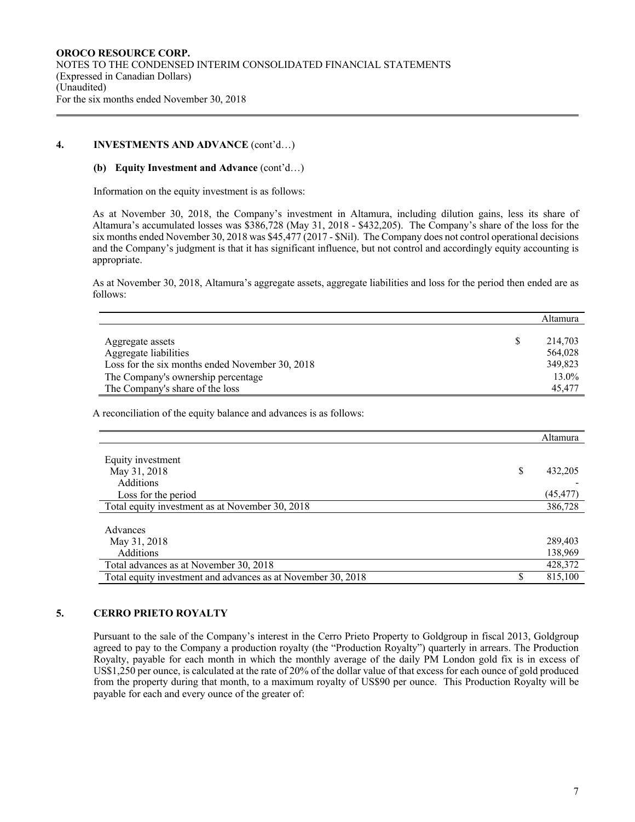### **4. INVESTMENTS AND ADVANCE** (cont'd…)

### **(b) Equity Investment and Advance** (cont'd…)

Information on the equity investment is as follows:

As at November 30, 2018, the Company's investment in Altamura, including dilution gains, less its share of Altamura's accumulated losses was \$386,728 (May 31, 2018 - \$432,205). The Company's share of the loss for the six months ended November 30, 2018 was \$45,477 (2017 - \$Nil). The Company does not control operational decisions and the Company's judgment is that it has significant influence, but not control and accordingly equity accounting is appropriate.

As at November 30, 2018, Altamura's aggregate assets, aggregate liabilities and loss for the period then ended are as follows:

|                                                 | $\Gamma$ udilitud |
|-------------------------------------------------|-------------------|
| Aggregate assets                                | 214,703           |
| Aggregate liabilities                           | 564,028           |
| Loss for the six months ended November 30, 2018 | 349,823           |
| The Company's ownership percentage              | 13.0%             |
| The Company's share of the loss                 | 45,477            |

A reconciliation of the equity balance and advances is as follows:

|                                                              |   | Altamura  |
|--------------------------------------------------------------|---|-----------|
|                                                              |   |           |
| Equity investment                                            |   |           |
| May 31, 2018                                                 | S | 432,205   |
| <b>Additions</b>                                             |   |           |
| Loss for the period                                          |   | (45, 477) |
| Total equity investment as at November 30, 2018              |   | 386,728   |
|                                                              |   |           |
| Advances                                                     |   |           |
| May 31, 2018                                                 |   | 289,403   |
| Additions                                                    |   | 138,969   |
| Total advances as at November 30, 2018                       |   | 428,372   |
| Total equity investment and advances as at November 30, 2018 |   | 815,100   |

### **5. CERRO PRIETO ROYALTY**

Pursuant to the sale of the Company's interest in the Cerro Prieto Property to Goldgroup in fiscal 2013, Goldgroup agreed to pay to the Company a production royalty (the "Production Royalty") quarterly in arrears. The Production Royalty, payable for each month in which the monthly average of the daily PM London gold fix is in excess of US\$1,250 per ounce, is calculated at the rate of 20% of the dollar value of that excess for each ounce of gold produced from the property during that month, to a maximum royalty of US\$90 per ounce. This Production Royalty will be payable for each and every ounce of the greater of:

Altamura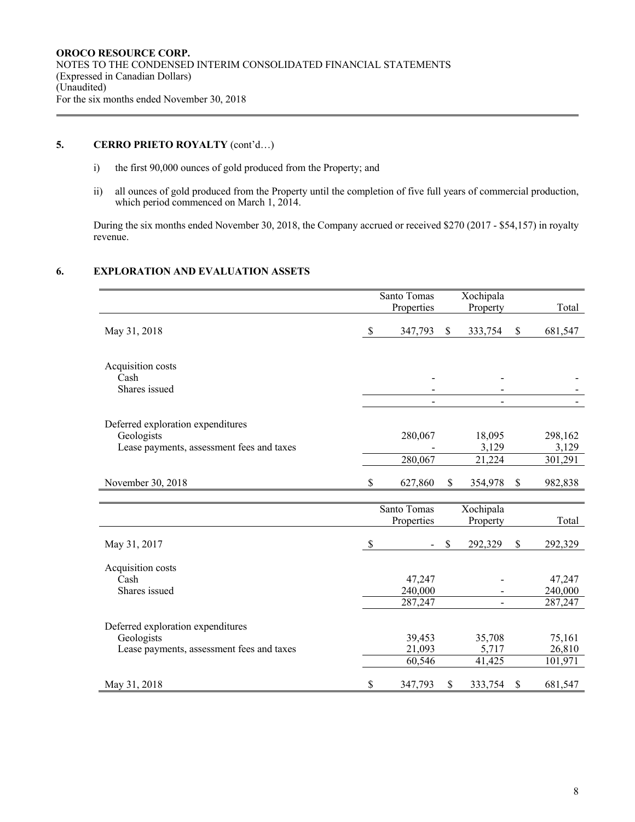# **5. CERRO PRIETO ROYALTY** (cont'd…)

- i) the first 90,000 ounces of gold produced from the Property; and
- ii) all ounces of gold produced from the Property until the completion of five full years of commercial production, which period commenced on March 1, 2014.

During the six months ended November 30, 2018, the Company accrued or received \$270 (2017 - \$54,157) in royalty revenue.

# **6. EXPLORATION AND EVALUATION ASSETS**

|                                           | Santo Tomas   |             | Xochipala |               |
|-------------------------------------------|---------------|-------------|-----------|---------------|
|                                           | Properties    |             | Property  | Total         |
|                                           |               |             |           |               |
| May 31, 2018                              | \$<br>347,793 | $\sqrt{\ }$ | 333,754   | \$<br>681,547 |
|                                           |               |             |           |               |
| Acquisition costs                         |               |             |           |               |
| Cash                                      |               |             |           |               |
| Shares issued                             |               |             |           |               |
|                                           |               |             |           |               |
| Deferred exploration expenditures         |               |             |           |               |
| Geologists                                | 280,067       |             | 18,095    | 298,162       |
| Lease payments, assessment fees and taxes |               |             | 3,129     | 3,129         |
|                                           | 280,067       |             | 21,224    | 301,291       |
| November 30, 2018                         | \$<br>627,860 | \$          | 354,978   | \$<br>982,838 |
|                                           |               |             |           |               |
|                                           | Santo Tomas   |             | Xochipala |               |
|                                           | Properties    |             | Property  | Total         |
| May 31, 2017                              | \$            | \$          | 292,329   | \$<br>292,329 |
|                                           |               |             |           |               |
| Acquisition costs                         |               |             |           |               |
| Cash                                      | 47,247        |             |           | 47,247        |
| Shares issued                             | 240,000       |             |           | 240,000       |
|                                           | 287,247       |             |           | 287,247       |
| Deferred exploration expenditures         |               |             |           |               |
| Geologists                                | 39,453        |             | 35,708    | 75,161        |
| Lease payments, assessment fees and taxes | 21,093        |             | 5,717     | 26,810        |
|                                           | 60,546        |             | 41,425    | 101,971       |
| May 31, 2018                              | \$<br>347,793 | \$          | 333,754   | \$<br>681,547 |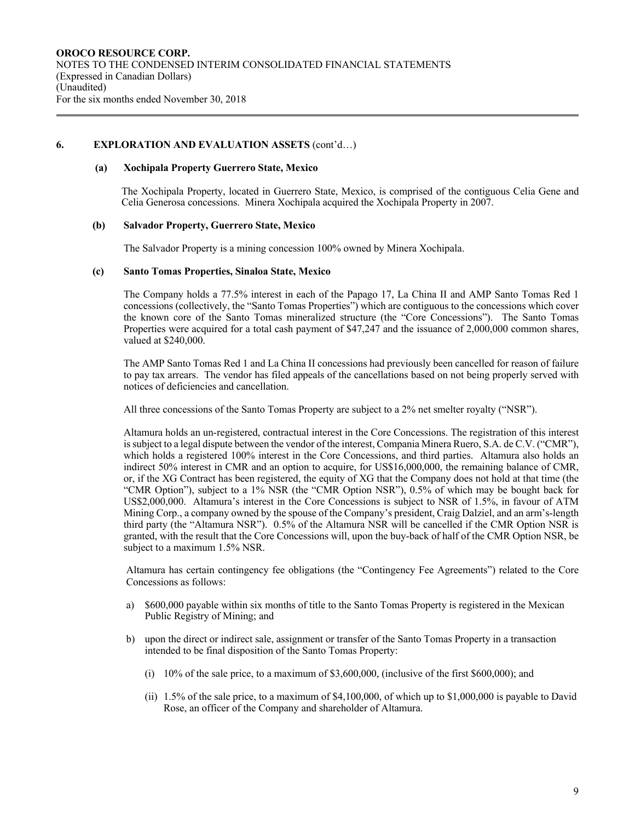### **6. EXPLORATION AND EVALUATION ASSETS** (cont'd…)

#### **(a) Xochipala Property Guerrero State, Mexico**

The Xochipala Property, located in Guerrero State, Mexico, is comprised of the contiguous Celia Gene and Celia Generosa concessions. Minera Xochipala acquired the Xochipala Property in 2007.

#### **(b) Salvador Property, Guerrero State, Mexico**

The Salvador Property is a mining concession 100% owned by Minera Xochipala.

#### **(c) Santo Tomas Properties, Sinaloa State, Mexico**

The Company holds a 77.5% interest in each of the Papago 17, La China II and AMP Santo Tomas Red 1 concessions (collectively, the "Santo Tomas Properties") which are contiguous to the concessions which cover the known core of the Santo Tomas mineralized structure (the "Core Concessions"). The Santo Tomas Properties were acquired for a total cash payment of \$47,247 and the issuance of 2,000,000 common shares, valued at \$240,000.

The AMP Santo Tomas Red 1 and La China II concessions had previously been cancelled for reason of failure to pay tax arrears. The vendor has filed appeals of the cancellations based on not being properly served with notices of deficiencies and cancellation.

All three concessions of the Santo Tomas Property are subject to a 2% net smelter royalty ("NSR").

Altamura holds an un-registered, contractual interest in the Core Concessions. The registration of this interest is subject to a legal dispute between the vendor of the interest, Compania Minera Ruero, S.A. de C.V. ("CMR"), which holds a registered 100% interest in the Core Concessions, and third parties. Altamura also holds an indirect 50% interest in CMR and an option to acquire, for US\$16,000,000, the remaining balance of CMR, or, if the XG Contract has been registered, the equity of XG that the Company does not hold at that time (the "CMR Option"), subject to a 1% NSR (the "CMR Option NSR"), 0.5% of which may be bought back for US\$2,000,000. Altamura's interest in the Core Concessions is subject to NSR of 1.5%, in favour of ATM Mining Corp., a company owned by the spouse of the Company's president, Craig Dalziel, and an arm's-length third party (the "Altamura NSR"). 0.5% of the Altamura NSR will be cancelled if the CMR Option NSR is granted, with the result that the Core Concessions will, upon the buy-back of half of the CMR Option NSR, be subject to a maximum 1.5% NSR.

Altamura has certain contingency fee obligations (the "Contingency Fee Agreements") related to the Core Concessions as follows:

- a) \$600,000 payable within six months of title to the Santo Tomas Property is registered in the Mexican Public Registry of Mining; and
- b) upon the direct or indirect sale, assignment or transfer of the Santo Tomas Property in a transaction intended to be final disposition of the Santo Tomas Property:
	- (i) 10% of the sale price, to a maximum of \$3,600,000, (inclusive of the first \$600,000); and
	- (ii) 1.5% of the sale price, to a maximum of \$4,100,000, of which up to \$1,000,000 is payable to David Rose, an officer of the Company and shareholder of Altamura.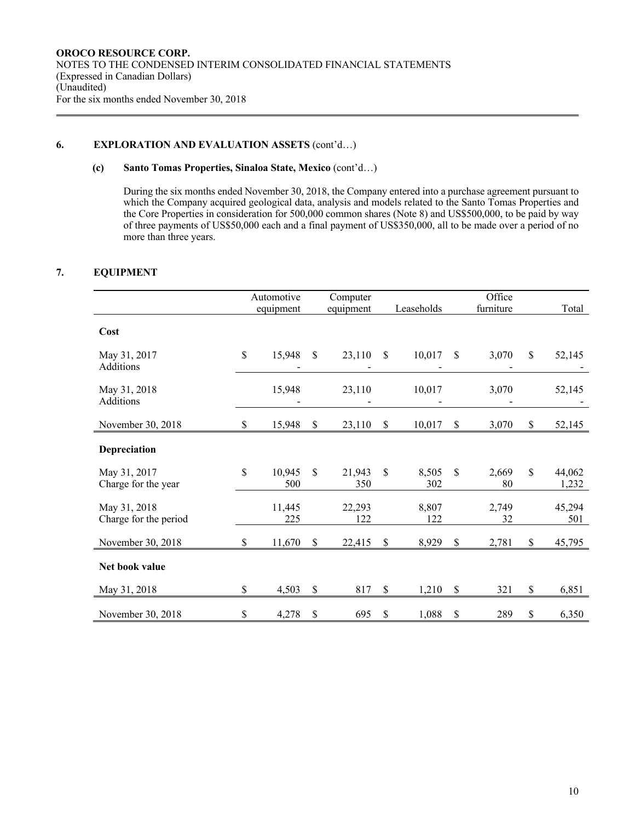# **6. EXPLORATION AND EVALUATION ASSETS** (cont'd…)

### **(c) Santo Tomas Properties, Sinaloa State, Mexico** (cont'd…)

During the six months ended November 30, 2018, the Company entered into a purchase agreement pursuant to which the Company acquired geological data, analysis and models related to the Santo Tomas Properties and the Core Properties in consideration for 500,000 common shares (Note 8) and US\$500,000, to be paid by way of three payments of US\$50,000 each and a final payment of US\$350,000, all to be made over a period of no more than three years.

# **7. EQUIPMENT**

|                                       |              | Automotive    |                           | Computer      |              |              |              | Office      |               |
|---------------------------------------|--------------|---------------|---------------------------|---------------|--------------|--------------|--------------|-------------|---------------|
|                                       |              | equipment     |                           | equipment     |              | Leaseholds   |              | furniture   | Total         |
|                                       |              |               |                           |               |              |              |              |             |               |
| Cost                                  |              |               |                           |               |              |              |              |             |               |
| May 31, 2017<br>Additions             | $\mathbb{S}$ | 15,948        | S                         | 23,110        | \$           | 10,017       | \$           | 3,070       | \$<br>52,145  |
| May 31, 2018<br>Additions             |              | 15,948        |                           | 23,110        |              | 10,017       |              | 3,070       | 52,145        |
| November 30, 2018                     | \$           | 15,948        | \$                        | 23,110        | \$           | 10,017       | \$           | 3,070       | \$<br>52,145  |
| Depreciation                          |              |               |                           |               |              |              |              |             |               |
| May 31, 2017                          | \$           | 10,945        | $\mathbb{S}$              | 21,943        | $\mathbb{S}$ | 8,505        | $\mathbb{S}$ | 2,669       | \$<br>44,062  |
| Charge for the year                   |              | 500           |                           | 350           |              | 302          |              | 80          | 1,232         |
| May 31, 2018<br>Charge for the period |              | 11,445<br>225 |                           | 22,293<br>122 |              | 8,807<br>122 |              | 2,749<br>32 | 45,294<br>501 |
| November 30, 2018                     | \$           | 11,670        | \$                        | 22,415        | \$           | 8,929        | \$           | 2,781       | \$<br>45,795  |
| Net book value                        |              |               |                           |               |              |              |              |             |               |
| May 31, 2018                          | \$           | 4,503         | $\boldsymbol{\mathsf{S}}$ | 817           | \$           | 1,210        | \$           | 321         | \$<br>6,851   |
| November 30, 2018                     | \$           | 4,278         | \$                        | 695           | \$           | 1,088        | \$           | 289         | \$<br>6,350   |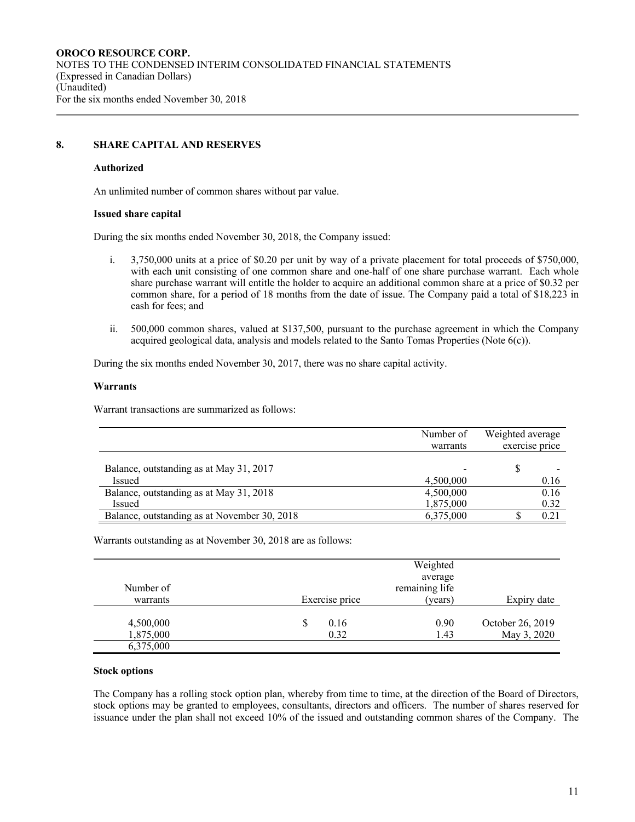# **8. SHARE CAPITAL AND RESERVES**

#### **Authorized**

An unlimited number of common shares without par value.

#### **Issued share capital**

During the six months ended November 30, 2018, the Company issued:

- i. 3,750,000 units at a price of \$0.20 per unit by way of a private placement for total proceeds of \$750,000, with each unit consisting of one common share and one-half of one share purchase warrant. Each whole share purchase warrant will entitle the holder to acquire an additional common share at a price of \$0.32 per common share, for a period of 18 months from the date of issue. The Company paid a total of \$18,223 in cash for fees; and
- ii. 500,000 common shares, valued at \$137,500, pursuant to the purchase agreement in which the Company acquired geological data, analysis and models related to the Santo Tomas Properties (Note 6(c)).

During the six months ended November 30, 2017, there was no share capital activity.

#### **Warrants**

Warrant transactions are summarized as follows:

|                                              | Number of<br>warrants | Weighted average<br>exercise price |
|----------------------------------------------|-----------------------|------------------------------------|
| Balance, outstanding as at May 31, 2017      |                       |                                    |
| Issued                                       | 4.500,000             | 0.16                               |
| Balance, outstanding as at May 31, 2018      | 4,500,000             | 0.16                               |
| <b>Issued</b>                                | 1,875,000             | 0.32                               |
| Balance, outstanding as at November 30, 2018 | 6,375,000             | 0.21                               |

Warrants outstanding as at November 30, 2018 are as follows:

|                        |                   | Weighted<br>average |                                 |
|------------------------|-------------------|---------------------|---------------------------------|
| Number of              |                   | remaining life      |                                 |
| warrants               | Exercise price    | (years)             | Expiry date                     |
| 4,500,000<br>1,875,000 | 0.16<br>S<br>0.32 | 0.90<br>1.43        | October 26, 2019<br>May 3, 2020 |
| 6,375,000              |                   |                     |                                 |

#### **Stock options**

The Company has a rolling stock option plan, whereby from time to time, at the direction of the Board of Directors, stock options may be granted to employees, consultants, directors and officers. The number of shares reserved for issuance under the plan shall not exceed 10% of the issued and outstanding common shares of the Company. The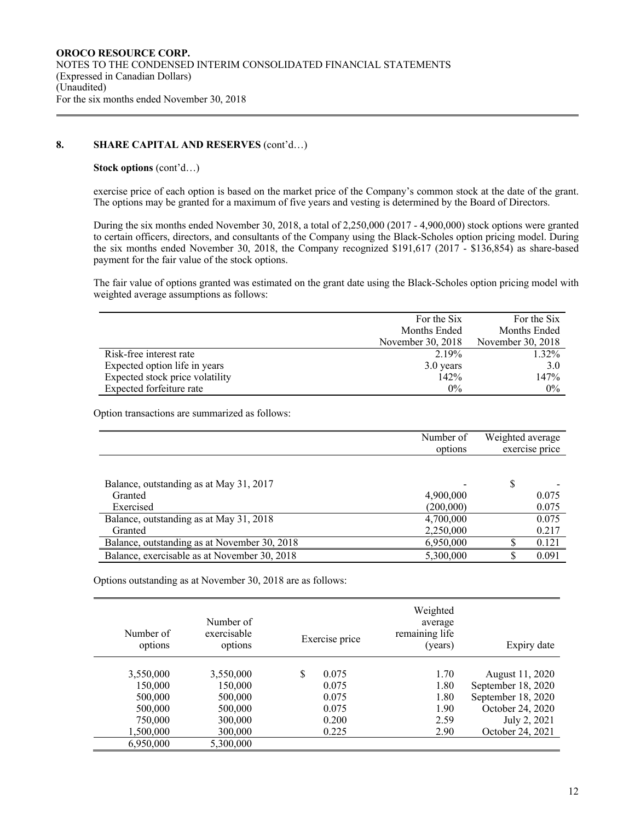# **8. SHARE CAPITAL AND RESERVES** (cont'd…)

### **Stock options** (cont'd…)

exercise price of each option is based on the market price of the Company's common stock at the date of the grant. The options may be granted for a maximum of five years and vesting is determined by the Board of Directors.

During the six months ended November 30, 2018, a total of 2,250,000 (2017 - 4,900,000) stock options were granted to certain officers, directors, and consultants of the Company using the Black-Scholes option pricing model. During the six months ended November 30, 2018, the Company recognized \$191,617 (2017 - \$136,854) as share-based payment for the fair value of the stock options.

The fair value of options granted was estimated on the grant date using the Black-Scholes option pricing model with weighted average assumptions as follows:

|                                 | For the Six       | For the Six       |
|---------------------------------|-------------------|-------------------|
|                                 | Months Ended      | Months Ended      |
|                                 | November 30, 2018 | November 30, 2018 |
| Risk-free interest rate         | 2.19%             | 1.32%             |
| Expected option life in years   | 3.0 years         | 3.0               |
| Expected stock price volatility | 142%              | 147%              |
| Expected forfeiture rate        | $0\%$             | $0\%$             |

Option transactions are summarized as follows:

|                                              | Number of<br>options | Weighted average<br>exercise price |
|----------------------------------------------|----------------------|------------------------------------|
|                                              |                      |                                    |
| Balance, outstanding as at May 31, 2017      |                      | \$                                 |
| Granted                                      | 4,900,000            | 0.075                              |
| Exercised                                    | (200,000)            | 0.075                              |
| Balance, outstanding as at May 31, 2018      | 4,700,000            | 0.075                              |
| Granted                                      | 2,250,000            | 0.217                              |
| Balance, outstanding as at November 30, 2018 | 6,950,000            | 0.121                              |
| Balance, exercisable as at November 30, 2018 | 5,300,000            | 0.091                              |

Options outstanding as at November 30, 2018 are as follows:

| Number of<br>options | Number of<br>exercisable<br>options | Weighted<br>average<br>remaining life<br>Exercise price<br>(years) | Expiry date        |
|----------------------|-------------------------------------|--------------------------------------------------------------------|--------------------|
| 3,550,000            | 3,550,000                           | \$<br>0.075<br>1.70                                                | August 11, 2020    |
| 150,000              | 150,000                             | 1.80<br>0.075                                                      |                    |
|                      |                                     |                                                                    | September 18, 2020 |
| 500,000              | 500,000                             | 1.80<br>0.075                                                      | September 18, 2020 |
| 500,000              | 500,000                             | 1.90<br>0.075                                                      | October 24, 2020   |
| 750,000              | 300,000                             | 0.200<br>2.59                                                      | July 2, 2021       |
| 1,500,000            | 300,000                             | 0.225<br>2.90                                                      | October 24, 2021   |
| 6,950,000            | 5,300,000                           |                                                                    |                    |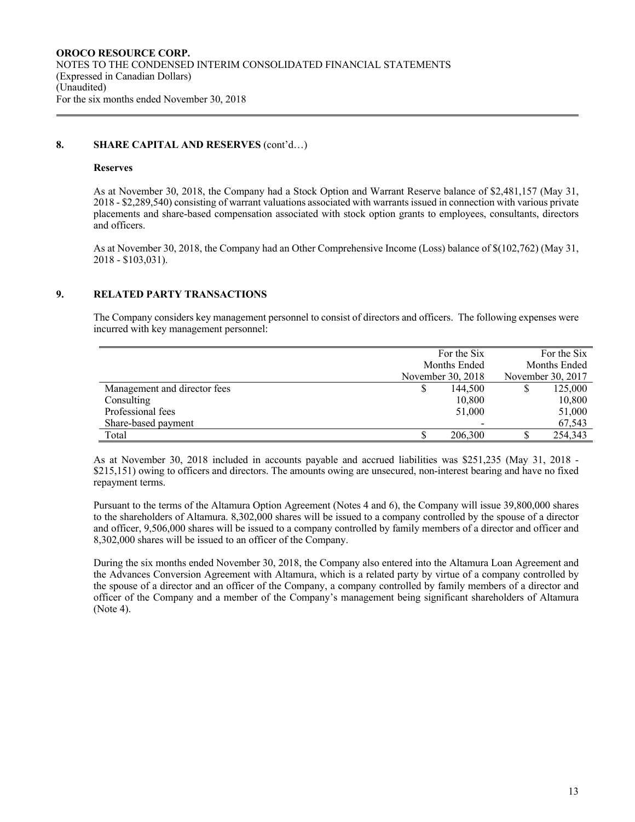### **8. SHARE CAPITAL AND RESERVES** (cont'd…)

#### **Reserves**

As at November 30, 2018, the Company had a Stock Option and Warrant Reserve balance of \$2,481,157 (May 31, 2018 - \$2,289,540) consisting of warrant valuations associated with warrants issued in connection with various private placements and share-based compensation associated with stock option grants to employees, consultants, directors and officers.

As at November 30, 2018, the Company had an Other Comprehensive Income (Loss) balance of \$(102,762) (May 31, 2018 - \$103,031).

### **9. RELATED PARTY TRANSACTIONS**

The Company considers key management personnel to consist of directors and officers. The following expenses were incurred with key management personnel:

|                              | For the Six       |              |  | For the Six |
|------------------------------|-------------------|--------------|--|-------------|
|                              |                   | Months Ended |  |             |
|                              | November 30, 2018 |              |  |             |
| Management and director fees | 144,500           |              |  | 125,000     |
| Consulting                   |                   | 10,800       |  | 10,800      |
| Professional fees            |                   | 51,000       |  | 51,000      |
| Share-based payment          |                   |              |  | 67,543      |
| Total                        | 206,300           |              |  | 254,343     |

As at November 30, 2018 included in accounts payable and accrued liabilities was \$251,235 (May 31, 2018 - \$215,151) owing to officers and directors. The amounts owing are unsecured, non-interest bearing and have no fixed repayment terms.

Pursuant to the terms of the Altamura Option Agreement (Notes 4 and 6), the Company will issue 39,800,000 shares to the shareholders of Altamura. 8,302,000 shares will be issued to a company controlled by the spouse of a director and officer, 9,506,000 shares will be issued to a company controlled by family members of a director and officer and 8,302,000 shares will be issued to an officer of the Company.

During the six months ended November 30, 2018, the Company also entered into the Altamura Loan Agreement and the Advances Conversion Agreement with Altamura, which is a related party by virtue of a company controlled by the spouse of a director and an officer of the Company, a company controlled by family members of a director and officer of the Company and a member of the Company's management being significant shareholders of Altamura (Note 4).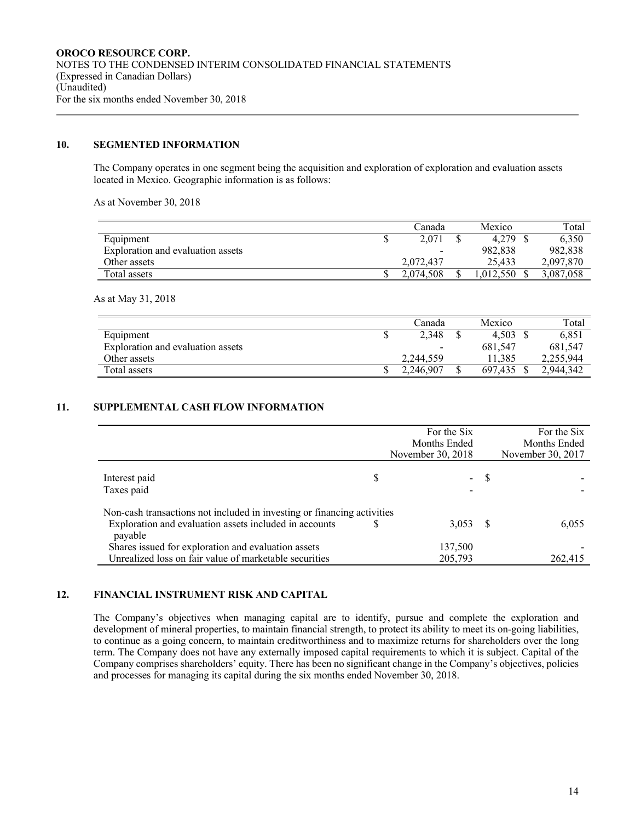#### **10. SEGMENTED INFORMATION**

The Company operates in one segment being the acquisition and exploration of exploration and evaluation assets located in Mexico. Geographic information is as follows:

As at November 30, 2018

|                                   | ∑anada    | Mexico   | Total     |
|-----------------------------------|-----------|----------|-----------|
| Equipment                         | 2,071     | 4.279    | 6.350     |
| Exploration and evaluation assets | -         | 982,838  | 982,838   |
| Other assets                      | 2,072,437 | 25.433   | 2,097,870 |
| Total assets                      | 2,074,508 | .012.550 | 3,087,058 |

As at May 31, 2018

|                                   | ∑anada    | Mexico  | Total     |
|-----------------------------------|-----------|---------|-----------|
| Equipment                         | 2,348     | 4.503   | 6.85      |
| Exploration and evaluation assets |           | 681,547 | 681.547   |
| Other assets                      | 2,244,559 | 1.385   | 2,255,944 |
| Total assets                      | 2,246,907 | 697.435 | 2,944,342 |

# **11. SUPPLEMENTAL CASH FLOW INFORMATION**

|                                                                         | For the Six       |    | For the Six       |
|-------------------------------------------------------------------------|-------------------|----|-------------------|
|                                                                         | Months Ended      |    | Months Ended      |
|                                                                         | November 30, 2018 |    | November 30, 2017 |
| Interest paid<br>Taxes paid                                             | \$<br>$\sim$      | -S |                   |
| Non-cash transactions not included in investing or financing activities |                   |    |                   |
| Exploration and evaluation assets included in accounts<br>payable       | 3,053             | -8 | 6.055             |
| Shares issued for exploration and evaluation assets                     | 137,500           |    |                   |
| Unrealized loss on fair value of marketable securities                  | 205,793           |    | 262,415           |

#### **12. FINANCIAL INSTRUMENT RISK AND CAPITAL**

The Company's objectives when managing capital are to identify, pursue and complete the exploration and development of mineral properties, to maintain financial strength, to protect its ability to meet its on-going liabilities, to continue as a going concern, to maintain creditworthiness and to maximize returns for shareholders over the long term. The Company does not have any externally imposed capital requirements to which it is subject. Capital of the Company comprises shareholders' equity. There has been no significant change in the Company's objectives, policies and processes for managing its capital during the six months ended November 30, 2018.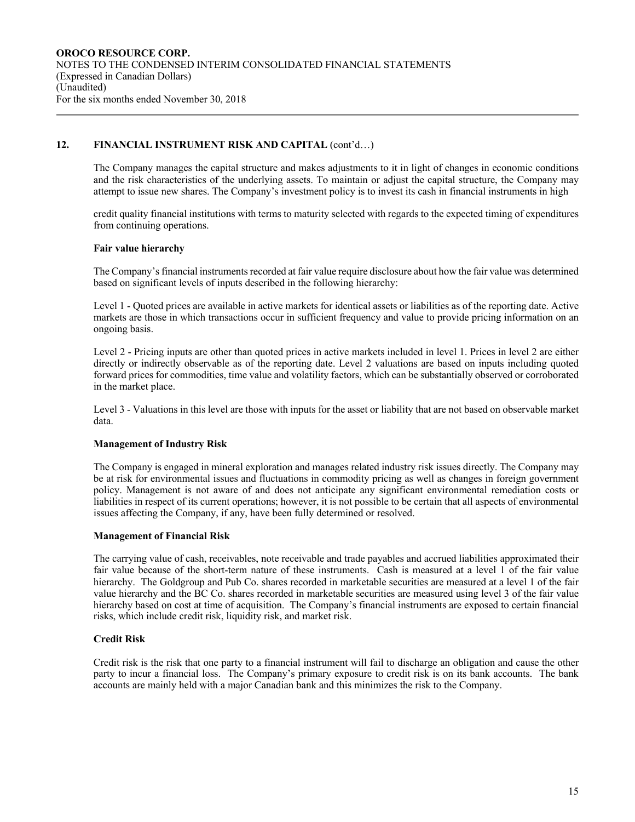# **12. FINANCIAL INSTRUMENT RISK AND CAPITAL** (cont'd…)

The Company manages the capital structure and makes adjustments to it in light of changes in economic conditions and the risk characteristics of the underlying assets. To maintain or adjust the capital structure, the Company may attempt to issue new shares. The Company's investment policy is to invest its cash in financial instruments in high

credit quality financial institutions with terms to maturity selected with regards to the expected timing of expenditures from continuing operations.

#### **Fair value hierarchy**

The Company's financial instruments recorded at fair value require disclosure about how the fair value was determined based on significant levels of inputs described in the following hierarchy:

Level 1 - Quoted prices are available in active markets for identical assets or liabilities as of the reporting date. Active markets are those in which transactions occur in sufficient frequency and value to provide pricing information on an ongoing basis.

Level 2 - Pricing inputs are other than quoted prices in active markets included in level 1. Prices in level 2 are either directly or indirectly observable as of the reporting date. Level 2 valuations are based on inputs including quoted forward prices for commodities, time value and volatility factors, which can be substantially observed or corroborated in the market place.

Level 3 - Valuations in this level are those with inputs for the asset or liability that are not based on observable market data.

#### **Management of Industry Risk**

The Company is engaged in mineral exploration and manages related industry risk issues directly. The Company may be at risk for environmental issues and fluctuations in commodity pricing as well as changes in foreign government policy. Management is not aware of and does not anticipate any significant environmental remediation costs or liabilities in respect of its current operations; however, it is not possible to be certain that all aspects of environmental issues affecting the Company, if any, have been fully determined or resolved.

#### **Management of Financial Risk**

The carrying value of cash, receivables, note receivable and trade payables and accrued liabilities approximated their fair value because of the short-term nature of these instruments. Cash is measured at a level 1 of the fair value hierarchy. The Goldgroup and Pub Co. shares recorded in marketable securities are measured at a level 1 of the fair value hierarchy and the BC Co. shares recorded in marketable securities are measured using level 3 of the fair value hierarchy based on cost at time of acquisition. The Company's financial instruments are exposed to certain financial risks, which include credit risk, liquidity risk, and market risk.

### **Credit Risk**

Credit risk is the risk that one party to a financial instrument will fail to discharge an obligation and cause the other party to incur a financial loss. The Company's primary exposure to credit risk is on its bank accounts. The bank accounts are mainly held with a major Canadian bank and this minimizes the risk to the Company.